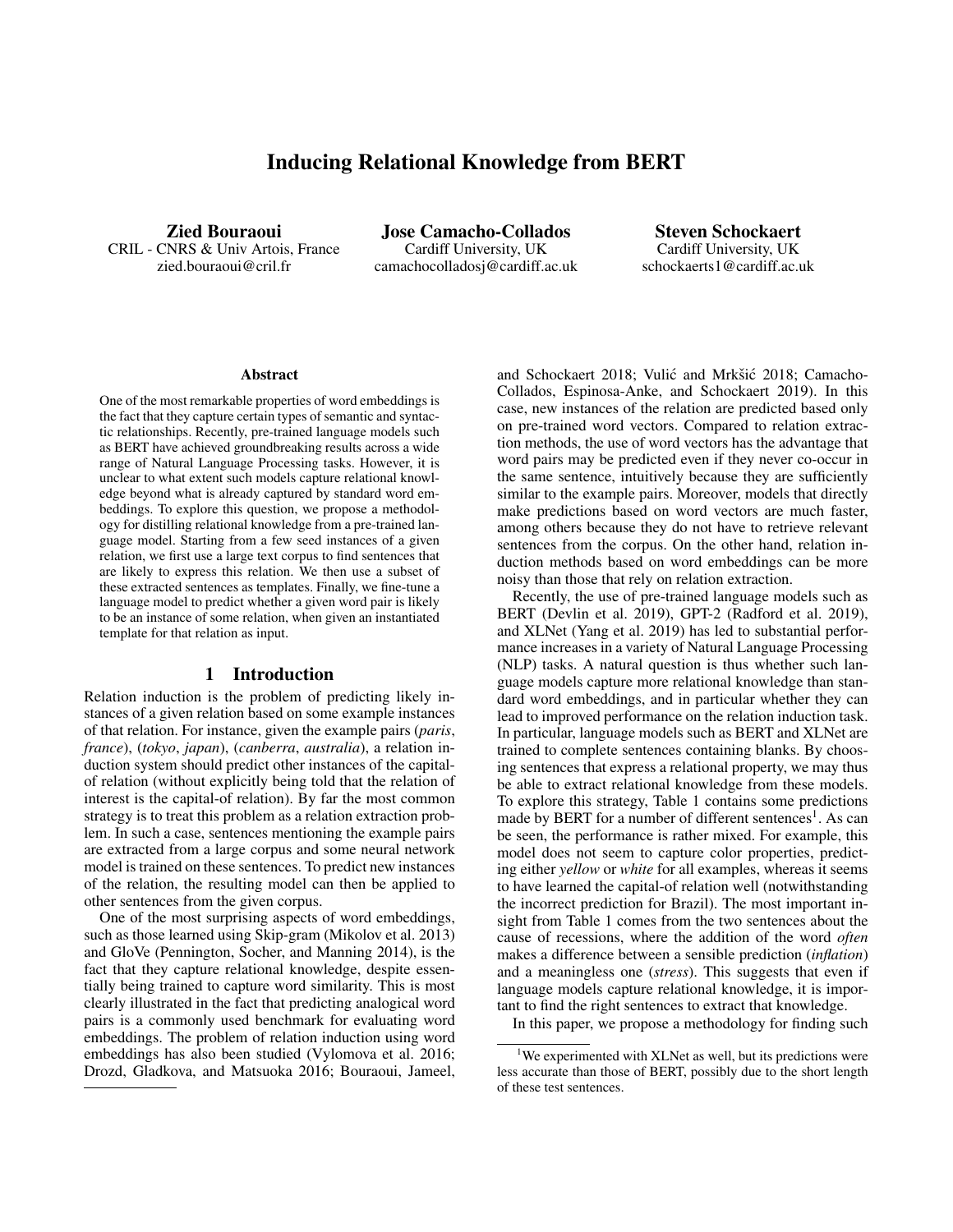# Inducing Relational Knowledge from BERT

Zied Bouraoui CRIL - CNRS & Univ Artois, France zied.bouraoui@cril.fr

Jose Camacho-Collados Cardiff University, UK camachocolladosj@cardiff.ac.uk

Steven Schockaert Cardiff University, UK schockaerts1@cardiff.ac.uk

#### **Abstract**

One of the most remarkable properties of word embeddings is the fact that they capture certain types of semantic and syntactic relationships. Recently, pre-trained language models such as BERT have achieved groundbreaking results across a wide range of Natural Language Processing tasks. However, it is unclear to what extent such models capture relational knowledge beyond what is already captured by standard word embeddings. To explore this question, we propose a methodology for distilling relational knowledge from a pre-trained language model. Starting from a few seed instances of a given relation, we first use a large text corpus to find sentences that are likely to express this relation. We then use a subset of these extracted sentences as templates. Finally, we fine-tune a language model to predict whether a given word pair is likely to be an instance of some relation, when given an instantiated template for that relation as input.

## 1 Introduction

Relation induction is the problem of predicting likely instances of a given relation based on some example instances of that relation. For instance, given the example pairs (*paris*, *france*), (*tokyo*, *japan*), (*canberra*, *australia*), a relation induction system should predict other instances of the capitalof relation (without explicitly being told that the relation of interest is the capital-of relation). By far the most common strategy is to treat this problem as a relation extraction problem. In such a case, sentences mentioning the example pairs are extracted from a large corpus and some neural network model is trained on these sentences. To predict new instances of the relation, the resulting model can then be applied to other sentences from the given corpus.

One of the most surprising aspects of word embeddings, such as those learned using Skip-gram (Mikolov et al. 2013) and GloVe (Pennington, Socher, and Manning 2014), is the fact that they capture relational knowledge, despite essentially being trained to capture word similarity. This is most clearly illustrated in the fact that predicting analogical word pairs is a commonly used benchmark for evaluating word embeddings. The problem of relation induction using word embeddings has also been studied (Vylomova et al. 2016; Drozd, Gladkova, and Matsuoka 2016; Bouraoui, Jameel,

and Schockaert 2018; Vulić and Mrkšić 2018; Camacho-Collados, Espinosa-Anke, and Schockaert 2019). In this case, new instances of the relation are predicted based only on pre-trained word vectors. Compared to relation extraction methods, the use of word vectors has the advantage that word pairs may be predicted even if they never co-occur in the same sentence, intuitively because they are sufficiently similar to the example pairs. Moreover, models that directly make predictions based on word vectors are much faster, among others because they do not have to retrieve relevant sentences from the corpus. On the other hand, relation induction methods based on word embeddings can be more noisy than those that rely on relation extraction.

Recently, the use of pre-trained language models such as BERT (Devlin et al. 2019), GPT-2 (Radford et al. 2019), and XLNet (Yang et al. 2019) has led to substantial performance increases in a variety of Natural Language Processing (NLP) tasks. A natural question is thus whether such language models capture more relational knowledge than standard word embeddings, and in particular whether they can lead to improved performance on the relation induction task. In particular, language models such as BERT and XLNet are trained to complete sentences containing blanks. By choosing sentences that express a relational property, we may thus be able to extract relational knowledge from these models. To explore this strategy, Table 1 contains some predictions made by BERT for a number of different sentences<sup>1</sup>. As can be seen, the performance is rather mixed. For example, this model does not seem to capture color properties, predicting either *yellow* or *white* for all examples, whereas it seems to have learned the capital-of relation well (notwithstanding the incorrect prediction for Brazil). The most important insight from Table 1 comes from the two sentences about the cause of recessions, where the addition of the word *often* makes a difference between a sensible prediction (*inflation*) and a meaningless one (*stress*). This suggests that even if language models capture relational knowledge, it is important to find the right sentences to extract that knowledge.

In this paper, we propose a methodology for finding such

<sup>&</sup>lt;sup>1</sup>We experimented with XLNet as well, but its predictions were less accurate than those of BERT, possibly due to the short length of these test sentences.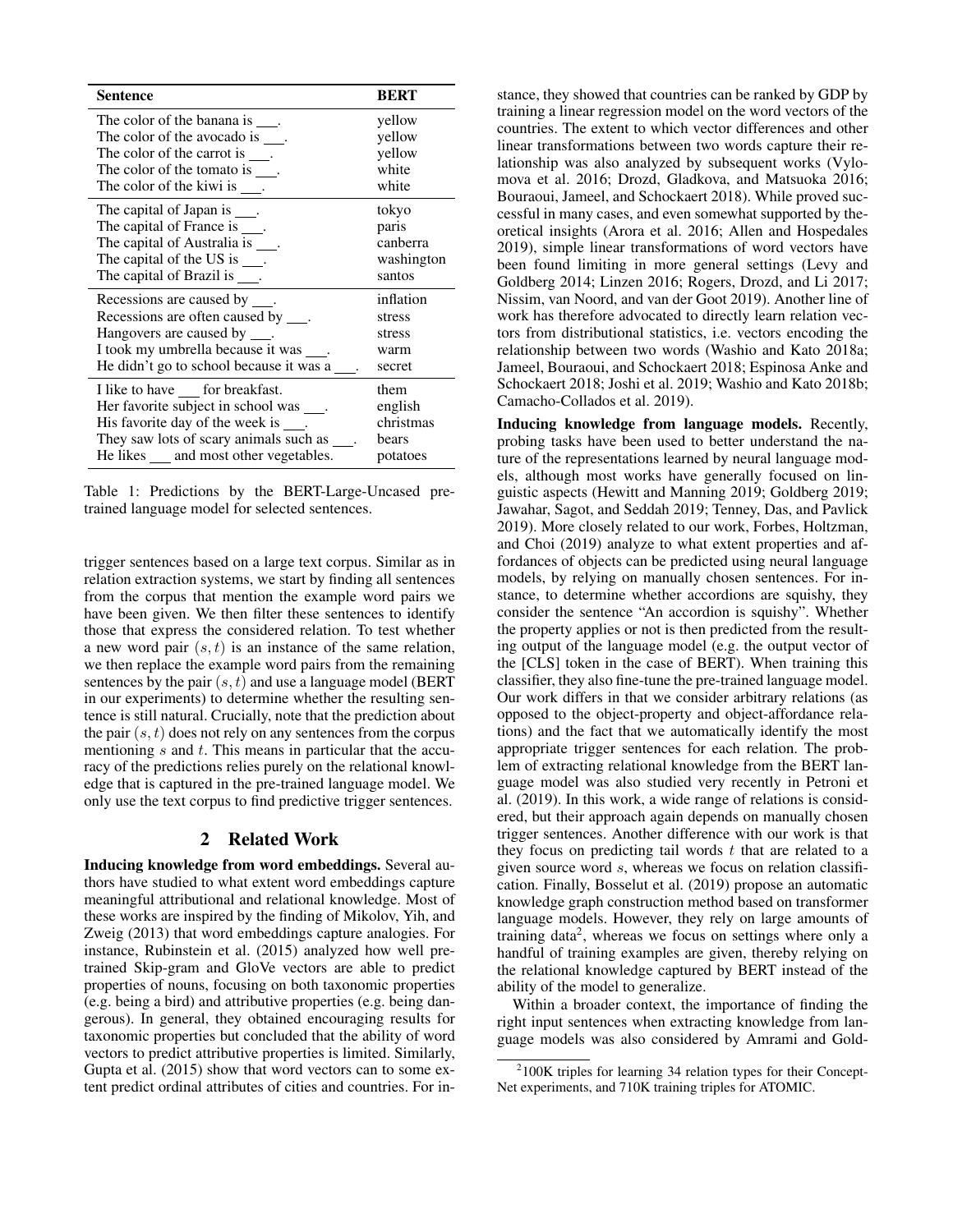| <b>Sentence</b>                              | <b>BERT</b> |
|----------------------------------------------|-------------|
| The color of the banana is .                 | yellow      |
| The color of the avocado is .                | yellow      |
| The color of the carrot is .                 | yellow      |
| The color of the tomato is $\_\_$ .          | white       |
| The color of the kiwi is $\_\_$ .            | white       |
| The capital of Japan is .                    | tokyo       |
| The capital of France is ___.                | paris       |
| The capital of Australia is .                | canberra    |
| The capital of the US is $\_\_$ .            | washington  |
| The capital of Brazil is ___.                | santos      |
| Recessions are caused by ___.                | inflation   |
| Recessions are often caused by ___.          | stress      |
| Hangovers are caused by ____.                | stress      |
| I took my umbrella because it was ___.       | warm        |
| He didn't go to school because it was a      | secret      |
| I like to have ___ for breakfast.            | them        |
| Her favorite subject in school was           | english     |
| His favorite day of the week is ___.         | christmas   |
| They saw lots of scary animals such as ____. | bears       |
| He likes ____ and most other vegetables.     | potatoes    |

Table 1: Predictions by the BERT-Large-Uncased pretrained language model for selected sentences.

trigger sentences based on a large text corpus. Similar as in relation extraction systems, we start by finding all sentences from the corpus that mention the example word pairs we have been given. We then filter these sentences to identify those that express the considered relation. To test whether a new word pair  $(s, t)$  is an instance of the same relation, we then replace the example word pairs from the remaining sentences by the pair  $(s, t)$  and use a language model (BERT in our experiments) to determine whether the resulting sentence is still natural. Crucially, note that the prediction about the pair  $(s, t)$  does not rely on any sentences from the corpus mentioning  $s$  and  $t$ . This means in particular that the accuracy of the predictions relies purely on the relational knowledge that is captured in the pre-trained language model. We only use the text corpus to find predictive trigger sentences.

# 2 Related Work

Inducing knowledge from word embeddings. Several authors have studied to what extent word embeddings capture meaningful attributional and relational knowledge. Most of these works are inspired by the finding of Mikolov, Yih, and Zweig (2013) that word embeddings capture analogies. For instance, Rubinstein et al. (2015) analyzed how well pretrained Skip-gram and GloVe vectors are able to predict properties of nouns, focusing on both taxonomic properties (e.g. being a bird) and attributive properties (e.g. being dangerous). In general, they obtained encouraging results for taxonomic properties but concluded that the ability of word vectors to predict attributive properties is limited. Similarly, Gupta et al. (2015) show that word vectors can to some extent predict ordinal attributes of cities and countries. For instance, they showed that countries can be ranked by GDP by training a linear regression model on the word vectors of the countries. The extent to which vector differences and other linear transformations between two words capture their relationship was also analyzed by subsequent works (Vylomova et al. 2016; Drozd, Gladkova, and Matsuoka 2016; Bouraoui, Jameel, and Schockaert 2018). While proved successful in many cases, and even somewhat supported by theoretical insights (Arora et al. 2016; Allen and Hospedales 2019), simple linear transformations of word vectors have been found limiting in more general settings (Levy and Goldberg 2014; Linzen 2016; Rogers, Drozd, and Li 2017; Nissim, van Noord, and van der Goot 2019). Another line of work has therefore advocated to directly learn relation vectors from distributional statistics, i.e. vectors encoding the relationship between two words (Washio and Kato 2018a; Jameel, Bouraoui, and Schockaert 2018; Espinosa Anke and Schockaert 2018; Joshi et al. 2019; Washio and Kato 2018b; Camacho-Collados et al. 2019).

Inducing knowledge from language models. Recently, probing tasks have been used to better understand the nature of the representations learned by neural language models, although most works have generally focused on linguistic aspects (Hewitt and Manning 2019; Goldberg 2019; Jawahar, Sagot, and Seddah 2019; Tenney, Das, and Pavlick 2019). More closely related to our work, Forbes, Holtzman, and Choi (2019) analyze to what extent properties and affordances of objects can be predicted using neural language models, by relying on manually chosen sentences. For instance, to determine whether accordions are squishy, they consider the sentence "An accordion is squishy". Whether the property applies or not is then predicted from the resulting output of the language model (e.g. the output vector of the [CLS] token in the case of BERT). When training this classifier, they also fine-tune the pre-trained language model. Our work differs in that we consider arbitrary relations (as opposed to the object-property and object-affordance relations) and the fact that we automatically identify the most appropriate trigger sentences for each relation. The problem of extracting relational knowledge from the BERT language model was also studied very recently in Petroni et al. (2019). In this work, a wide range of relations is considered, but their approach again depends on manually chosen trigger sentences. Another difference with our work is that they focus on predicting tail words  $t$  that are related to a given source word s, whereas we focus on relation classification. Finally, Bosselut et al. (2019) propose an automatic knowledge graph construction method based on transformer language models. However, they rely on large amounts of training data<sup>2</sup>, whereas we focus on settings where only a handful of training examples are given, thereby relying on the relational knowledge captured by BERT instead of the ability of the model to generalize.

Within a broader context, the importance of finding the right input sentences when extracting knowledge from language models was also considered by Amrami and Gold-

<sup>&</sup>lt;sup>2</sup>100K triples for learning 34 relation types for their Concept-Net experiments, and 710K training triples for ATOMIC.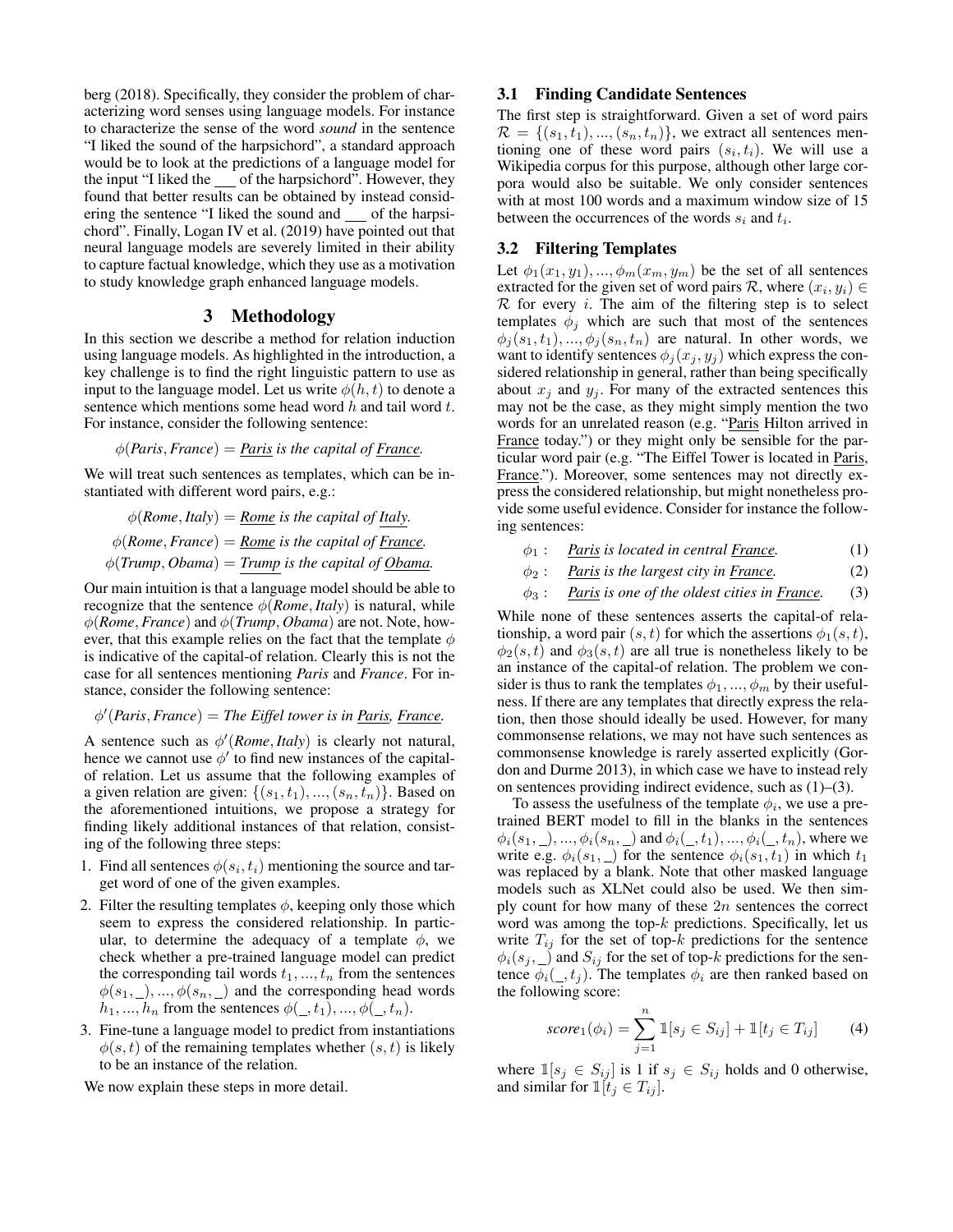berg (2018). Specifically, they consider the problem of characterizing word senses using language models. For instance to characterize the sense of the word *sound* in the sentence "I liked the sound of the harpsichord", a standard approach would be to look at the predictions of a language model for the input "I liked the  $\_\_$  of the harpsichord". However, they found that better results can be obtained by instead considering the sentence "I liked the sound and  $\quad$  of the harpsichord". Finally, Logan IV et al. (2019) have pointed out that neural language models are severely limited in their ability to capture factual knowledge, which they use as a motivation to study knowledge graph enhanced language models.

## 3 Methodology

In this section we describe a method for relation induction using language models. As highlighted in the introduction, a key challenge is to find the right linguistic pattern to use as input to the language model. Let us write  $\phi(h, t)$  to denote a sentence which mentions some head word  $h$  and tail word  $t$ . For instance, consider the following sentence:

 $\phi$ (*Paris*, *France*) = *Paris is the capital of France.* 

We will treat such sentences as templates, which can be instantiated with different word pairs, e.g.:

$$
\phi(Rome, Italy) = \underline{Rome} \text{ is the capital of } \underline{Italy.}
$$
  

$$
\phi(Rome, France) = \underline{Rome} \text{ is the capital of } \underline{France.}
$$
  

$$
\phi(Trump, Obama) = Trump \text{ is the capital of } \underline{Obama}
$$

Our main intuition is that a language model should be able to recognize that the sentence  $\phi$ (*Rome*, *Italy*) is natural, while φ(*Rome*, *France*) and φ(*Trump*, *Obama*) are not. Note, however, that this example relies on the fact that the template  $\phi$ is indicative of the capital-of relation. Clearly this is not the case for all sentences mentioning *Paris* and *France*. For instance, consider the following sentence:

φ 0 (*Paris*, *France*) = *The Eiffel tower is in Paris, France.*

A sentence such as  $\phi'$  (*Rome*, *Italy*) is clearly not natural, hence we cannot use  $\phi'$  to find new instances of the capitalof relation. Let us assume that the following examples of a given relation are given:  $\{(s_1, t_1), ..., (s_n, t_n)\}$ . Based on the aforementioned intuitions, we propose a strategy for finding likely additional instances of that relation, consisting of the following three steps:

- 1. Find all sentences  $\phi(s_i, t_i)$  mentioning the source and target word of one of the given examples.
- 2. Filter the resulting templates  $\phi$ , keeping only those which seem to express the considered relationship. In particular, to determine the adequacy of a template  $\phi$ , we check whether a pre-trained language model can predict the corresponding tail words  $t_1, ..., t_n$  from the sentences  $\phi(s_1, \_, \_, \ldots, \phi(s_n, \_)$  and the corresponding head words  $h_1, ..., h_n$  from the sentences  $\phi($ , t<sub>1</sub>), ...,  $\phi($ <sub>,</sub> t<sub>n</sub>).
- 3. Fine-tune a language model to predict from instantiations  $\phi(s, t)$  of the remaining templates whether  $(s, t)$  is likely to be an instance of the relation.

We now explain these steps in more detail.

## 3.1 Finding Candidate Sentences

The first step is straightforward. Given a set of word pairs  $\mathcal{R} = \{(s_1, t_1), ..., (s_n, t_n)\}\$ , we extract all sentences mentioning one of these word pairs  $(s_i, t_i)$ . We will use a Wikipedia corpus for this purpose, although other large corpora would also be suitable. We only consider sentences with at most 100 words and a maximum window size of 15 between the occurrences of the words  $s_i$  and  $t_i$ .

## 3.2 Filtering Templates

Let  $\phi_1(x_1, y_1), ..., \phi_m(x_m, y_m)$  be the set of all sentences extracted for the given set of word pairs  $\mathcal{R}$ , where  $(x_i, y_i) \in$  $R$  for every *i*. The aim of the filtering step is to select templates  $\phi_j$  which are such that most of the sentences  $\phi_i(s_1, t_1), ..., \phi_i(s_n, t_n)$  are natural. In other words, we want to identify sentences  $\phi_j(x_j, y_j)$  which express the considered relationship in general, rather than being specifically about  $x_j$  and  $y_j$ . For many of the extracted sentences this may not be the case, as they might simply mention the two words for an unrelated reason (e.g. "Paris Hilton arrived in France today.") or they might only be sensible for the particular word pair (e.g. "The Eiffel Tower is located in Paris, France."). Moreover, some sentences may not directly express the considered relationship, but might nonetheless provide some useful evidence. Consider for instance the following sentences:

- $\phi_1$ : *Paris is located in central France.* (1)
- $\phi_2$ : *Paris is the largest city in France.* (2)
- $\phi_3$ : Paris *is one of the oldest cities in France.* (3)

While none of these sentences asserts the capital-of relationship, a word pair  $(s, t)$  for which the assertions  $\phi_1(s, t)$ ,  $\phi_2(s,t)$  and  $\phi_3(s,t)$  are all true is nonetheless likely to be an instance of the capital-of relation. The problem we consider is thus to rank the templates  $\phi_1, ..., \phi_m$  by their usefulness. If there are any templates that directly express the relation, then those should ideally be used. However, for many commonsense relations, we may not have such sentences as commonsense knowledge is rarely asserted explicitly (Gordon and Durme 2013), in which case we have to instead rely on sentences providing indirect evidence, such as (1)–(3).

To assess the usefulness of the template  $\phi_i$ , we use a pretrained BERT model to fill in the blanks in the sentences  $\phi_i(s_1, \_, \_, ..., \phi_i(s_n, \_)$  and  $\phi_i(\_, t_1), ..., \phi_i(\_, t_n)$ , where we write e.g.  $\phi_i(s_1, \_)$  for the sentence  $\phi_i(s_1, t_1)$  in which  $t_1$ was replaced by a blank. Note that other masked language models such as XLNet could also be used. We then simply count for how many of these  $2n$  sentences the correct word was among the top- $k$  predictions. Specifically, let us write  $T_{ij}$  for the set of top-k predictions for the sentence  $\phi_i(s_j, \underline{\hspace{0.3cm}})$  and  $S_{ij}$  for the set of top-k predictions for the sentence  $\phi_i(\_, t_i)$ . The templates  $\phi_i$  are then ranked based on the following score:

$$
score_1(\phi_i) = \sum_{j=1}^{n} \mathbb{1}[s_j \in S_{ij}] + \mathbb{1}[t_j \in T_{ij}] \tag{4}
$$

where  $\mathbb{1}[s_j \in S_{ij}]$  is 1 if  $s_j \in S_{ij}$  holds and 0 otherwise, and similar for  $\mathbb{1}[t_i \in T_{ij}].$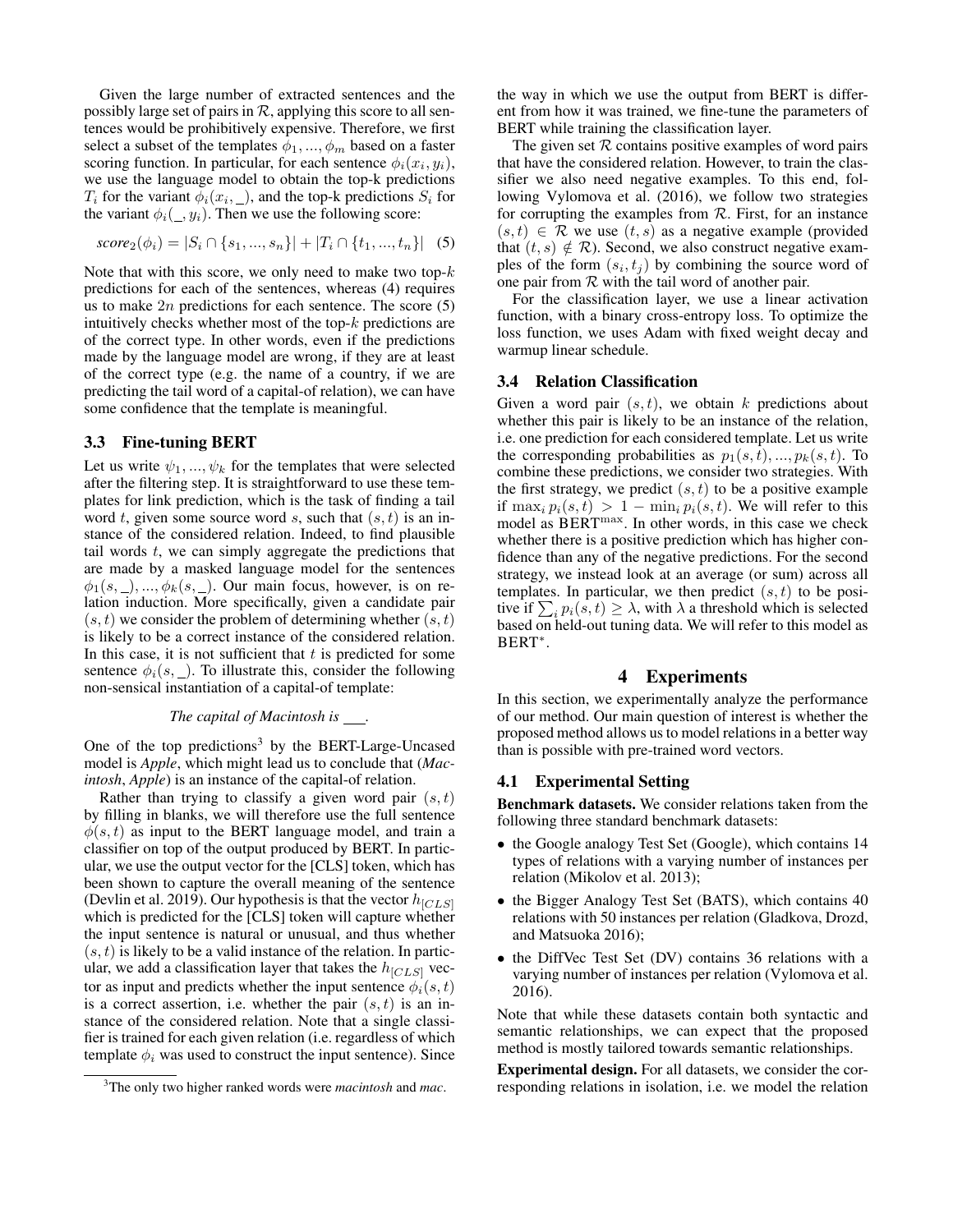Given the large number of extracted sentences and the possibly large set of pairs in  $\mathcal{R}$ , applying this score to all sentences would be prohibitively expensive. Therefore, we first select a subset of the templates  $\phi_1, ..., \phi_m$  based on a faster scoring function. In particular, for each sentence  $\phi_i(x_i, y_i)$ , we use the language model to obtain the top-k predictions  $T_i$  for the variant  $\phi_i(x_i, \_)$ , and the top-k predictions  $S_i$  for the variant  $\phi_i(\_, y_i)$ . Then we use the following score:

$$
score_2(\phi_i) = |S_i \cap \{s_1, ..., s_n\}| + |T_i \cap \{t_1, ..., t_n\}| \quad (5)
$$

Note that with this score, we only need to make two top- $k$ predictions for each of the sentences, whereas (4) requires us to make  $2n$  predictions for each sentence. The score  $(5)$ intuitively checks whether most of the top- $k$  predictions are of the correct type. In other words, even if the predictions made by the language model are wrong, if they are at least of the correct type (e.g. the name of a country, if we are predicting the tail word of a capital-of relation), we can have some confidence that the template is meaningful.

#### 3.3 Fine-tuning BERT

Let us write  $\psi_1, ..., \psi_k$  for the templates that were selected after the filtering step. It is straightforward to use these templates for link prediction, which is the task of finding a tail word t, given some source word s, such that  $(s, t)$  is an instance of the considered relation. Indeed, to find plausible tail words  $t$ , we can simply aggregate the predictions that are made by a masked language model for the sentences  $\phi_1(s, \_), ..., \phi_k(s, \_)$ . Our main focus, however, is on relation induction. More specifically, given a candidate pair  $(s, t)$  we consider the problem of determining whether  $(s, t)$ is likely to be a correct instance of the considered relation. In this case, it is not sufficient that  $t$  is predicted for some sentence  $\phi_i(s, \_)$ . To illustrate this, consider the following non-sensical instantiation of a capital-of template:

#### *The capital of Macintosh is .*

One of the top predictions<sup>3</sup> by the BERT-Large-Uncased model is *Apple*, which might lead us to conclude that (*Macintosh*, *Apple*) is an instance of the capital-of relation.

Rather than trying to classify a given word pair  $(s, t)$ by filling in blanks, we will therefore use the full sentence  $\phi(s, t)$  as input to the BERT language model, and train a classifier on top of the output produced by BERT. In particular, we use the output vector for the [CLS] token, which has been shown to capture the overall meaning of the sentence (Devlin et al. 2019). Our hypothesis is that the vector  $h_{[CLS]}$ which is predicted for the [CLS] token will capture whether the input sentence is natural or unusual, and thus whether  $(s, t)$  is likely to be a valid instance of the relation. In particular, we add a classification layer that takes the  $h_{[CLS]}$  vector as input and predicts whether the input sentence  $\phi_i(s, t)$ is a correct assertion, i.e. whether the pair  $(s, t)$  is an instance of the considered relation. Note that a single classifier is trained for each given relation (i.e. regardless of which template  $\phi_i$  was used to construct the input sentence). Since

the way in which we use the output from BERT is different from how it was trained, we fine-tune the parameters of BERT while training the classification layer.

The given set  $R$  contains positive examples of word pairs that have the considered relation. However, to train the classifier we also need negative examples. To this end, following Vylomova et al. (2016), we follow two strategies for corrupting the examples from  $R$ . First, for an instance  $(s, t) \in \mathcal{R}$  we use  $(t, s)$  as a negative example (provided that  $(t, s) \notin \mathcal{R}$ ). Second, we also construct negative examples of the form  $(s_i, t_j)$  by combining the source word of one pair from  $R$  with the tail word of another pair.

For the classification layer, we use a linear activation function, with a binary cross-entropy loss. To optimize the loss function, we uses Adam with fixed weight decay and warmup linear schedule.

#### 3.4 Relation Classification

Given a word pair  $(s, t)$ , we obtain k predictions about whether this pair is likely to be an instance of the relation, i.e. one prediction for each considered template. Let us write the corresponding probabilities as  $p_1(s, t), ..., p_k(s, t)$ . To combine these predictions, we consider two strategies. With the first strategy, we predict  $(s, t)$  to be a positive example if  $\max_i p_i(s,t) > 1 - \min_i p_i(s,t)$ . We will refer to this model as BERTmax. In other words, in this case we check whether there is a positive prediction which has higher confidence than any of the negative predictions. For the second strategy, we instead look at an average (or sum) across all templates. In particular, we then predict  $(s, t)$  to be positive if  $\sum_i p_i(s, t) \geq \lambda$ , with  $\lambda$  a threshold which is selected based on held-out tuning data. We will refer to this model as BERT<sup>∗</sup> .

## 4 Experiments

In this section, we experimentally analyze the performance of our method. Our main question of interest is whether the proposed method allows us to model relations in a better way than is possible with pre-trained word vectors.

### 4.1 Experimental Setting

Benchmark datasets. We consider relations taken from the following three standard benchmark datasets:

- the Google analogy Test Set (Google), which contains 14 types of relations with a varying number of instances per relation (Mikolov et al. 2013);
- the Bigger Analogy Test Set (BATS), which contains 40 relations with 50 instances per relation (Gladkova, Drozd, and Matsuoka 2016);
- the DiffVec Test Set (DV) contains 36 relations with a varying number of instances per relation (Vylomova et al. 2016).

Note that while these datasets contain both syntactic and semantic relationships, we can expect that the proposed method is mostly tailored towards semantic relationships.

Experimental design. For all datasets, we consider the corresponding relations in isolation, i.e. we model the relation

<sup>3</sup>The only two higher ranked words were *macintosh* and *mac*.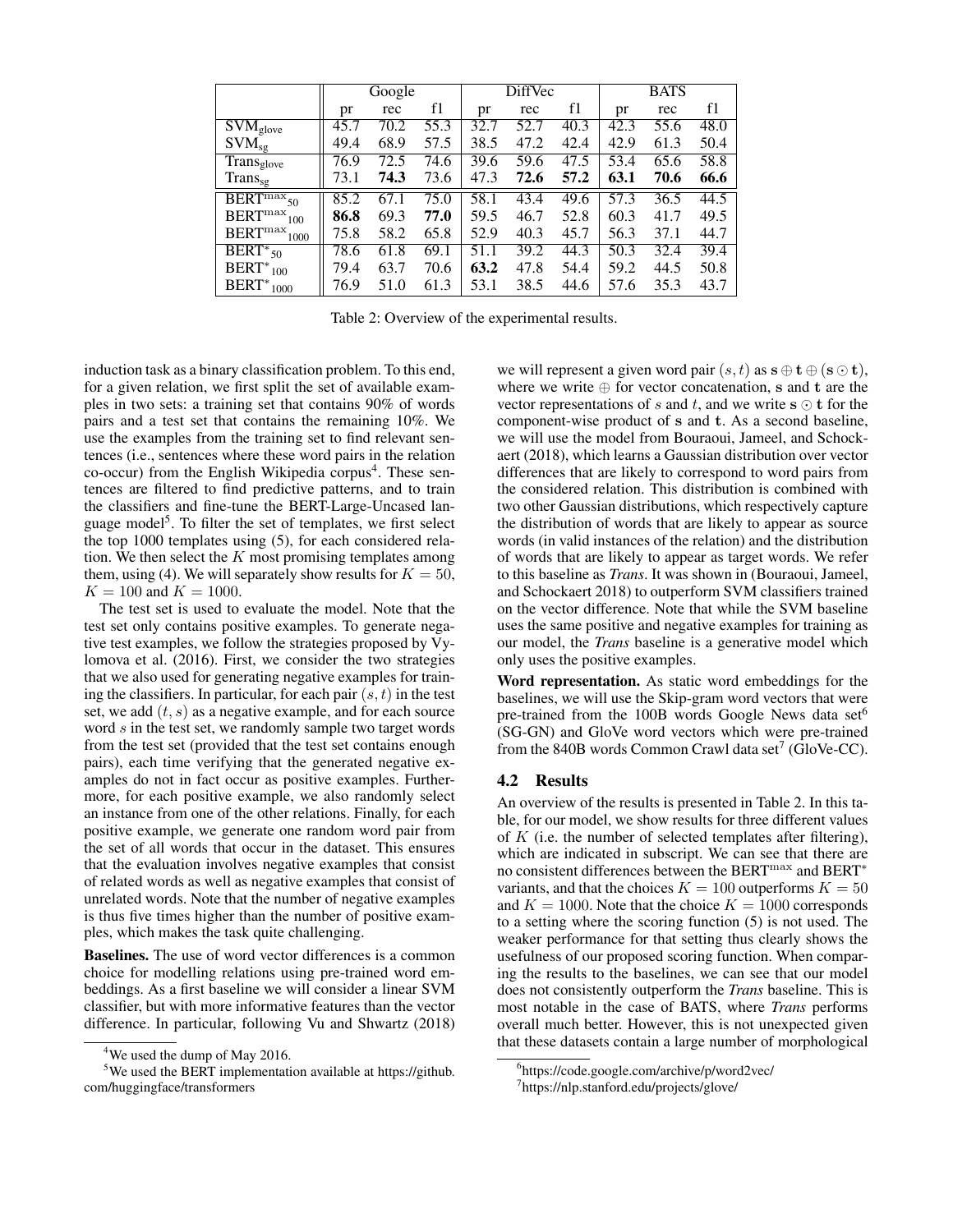|                                            | Google |      |      | <b>DiffVec</b> |      | <b>BATS</b> |      |      |      |
|--------------------------------------------|--------|------|------|----------------|------|-------------|------|------|------|
|                                            | pr     | rec  | f1   | pr             | rec  | f1          | pr   | rec  | f1   |
| $\overline{\mathrm{SVM}}_{\mathrm{glove}}$ | 45.7   | 70.2 | 55.3 | 32.7           | 52.7 | 40.3        | 42.3 | 55.6 | 48.0 |
| $\text{SVM}_{\text{sg}}$                   | 49.4   | 68.9 | 57.5 | 38.5           | 47.2 | 42.4        | 42.9 | 61.3 | 50.4 |
| Trans <sub>glove</sub>                     | 76.9   | 72.5 | 74.6 | 39.6           | 59.6 | 47.5        | 53.4 | 65.6 | 58.8 |
| $Trans_{sg}$                               | 73.1   | 74.3 | 73.6 | 47.3           | 72.6 | 57.2        | 63.1 | 70.6 | 66.6 |
| $\overline{\text{BERT}^{\text{max}}_{50}}$ | 85.2   | 67.1 | 75.0 | 58.1           | 43.4 | 49.6        | 57.3 | 36.5 | 44.5 |
| BERT <sup>max</sup><br>100                 | 86.8   | 69.3 | 77.0 | 59.5           | 46.7 | 52.8        | 60.3 | 41.7 | 49.5 |
| BERT <sup>max</sup><br>1000                | 75.8   | 58.2 | 65.8 | 52.9           | 40.3 | 45.7        | 56.3 | 37.1 | 44.7 |
| $\overline{\text{BERT}^*}_{50}$            | 78.6   | 61.8 | 69.1 | 51.1           | 39.2 | 44.3        | 50.3 | 32.4 | 39.4 |
| $BERT*_{100}$                              | 79.4   | 63.7 | 70.6 | 63.2           | 47.8 | 54.4        | 59.2 | 44.5 | 50.8 |
| $BERT*_{1000}$                             | 76.9   | 51.0 | 61.3 | 53.1           | 38.5 | 44.6        | 57.6 | 35.3 | 43.7 |

Table 2: Overview of the experimental results.

induction task as a binary classification problem. To this end, for a given relation, we first split the set of available examples in two sets: a training set that contains 90% of words pairs and a test set that contains the remaining 10%. We use the examples from the training set to find relevant sentences (i.e., sentences where these word pairs in the relation co-occur) from the English Wikipedia corpus<sup>4</sup>. These sentences are filtered to find predictive patterns, and to train the classifiers and fine-tune the BERT-Large-Uncased language model<sup>5</sup>. To filter the set of templates, we first select the top 1000 templates using (5), for each considered relation. We then select the  $K$  most promising templates among them, using (4). We will separately show results for  $K = 50$ ,  $K = 100$  and  $K = 1000$ .

The test set is used to evaluate the model. Note that the test set only contains positive examples. To generate negative test examples, we follow the strategies proposed by Vylomova et al. (2016). First, we consider the two strategies that we also used for generating negative examples for training the classifiers. In particular, for each pair  $(s, t)$  in the test set, we add  $(t, s)$  as a negative example, and for each source word s in the test set, we randomly sample two target words from the test set (provided that the test set contains enough pairs), each time verifying that the generated negative examples do not in fact occur as positive examples. Furthermore, for each positive example, we also randomly select an instance from one of the other relations. Finally, for each positive example, we generate one random word pair from the set of all words that occur in the dataset. This ensures that the evaluation involves negative examples that consist of related words as well as negative examples that consist of unrelated words. Note that the number of negative examples is thus five times higher than the number of positive examples, which makes the task quite challenging.

Baselines. The use of word vector differences is a common choice for modelling relations using pre-trained word embeddings. As a first baseline we will consider a linear SVM classifier, but with more informative features than the vector difference. In particular, following Vu and Shwartz (2018)

we will represent a given word pair  $(s, t)$  as  $s \oplus t \oplus (s \odot t)$ , where we write  $oplus$  for vector concatenation, s and t are the vector representations of s and t, and we write  $s \odot t$  for the component-wise product of s and t. As a second baseline, we will use the model from Bouraoui, Jameel, and Schockaert (2018), which learns a Gaussian distribution over vector differences that are likely to correspond to word pairs from the considered relation. This distribution is combined with two other Gaussian distributions, which respectively capture the distribution of words that are likely to appear as source words (in valid instances of the relation) and the distribution of words that are likely to appear as target words. We refer to this baseline as *Trans*. It was shown in (Bouraoui, Jameel, and Schockaert 2018) to outperform SVM classifiers trained on the vector difference. Note that while the SVM baseline uses the same positive and negative examples for training as our model, the *Trans* baseline is a generative model which only uses the positive examples.

Word representation. As static word embeddings for the baselines, we will use the Skip-gram word vectors that were pre-trained from the 100B words Google News data set<sup>6</sup> (SG-GN) and GloVe word vectors which were pre-trained from the 840B words Common Crawl data set<sup>7</sup> (GloVe-CC).

## 4.2 Results

An overview of the results is presented in Table 2. In this table, for our model, we show results for three different values of  $K$  (i.e. the number of selected templates after filtering), which are indicated in subscript. We can see that there are no consistent differences between the BERT<sup>max</sup> and BERT<sup>\*</sup> variants, and that the choices  $K = 100$  outperforms  $K = 50$ and  $K = 1000$ . Note that the choice  $K = 1000$  corresponds to a setting where the scoring function (5) is not used. The weaker performance for that setting thus clearly shows the usefulness of our proposed scoring function. When comparing the results to the baselines, we can see that our model does not consistently outperform the *Trans* baseline. This is most notable in the case of BATS, where *Trans* performs overall much better. However, this is not unexpected given that these datasets contain a large number of morphological

<sup>4</sup>We used the dump of May 2016.

<sup>5</sup>We used the BERT implementation available at https://github. com/huggingface/transformers

<sup>6</sup> https://code.google.com/archive/p/word2vec/

<sup>7</sup> https://nlp.stanford.edu/projects/glove/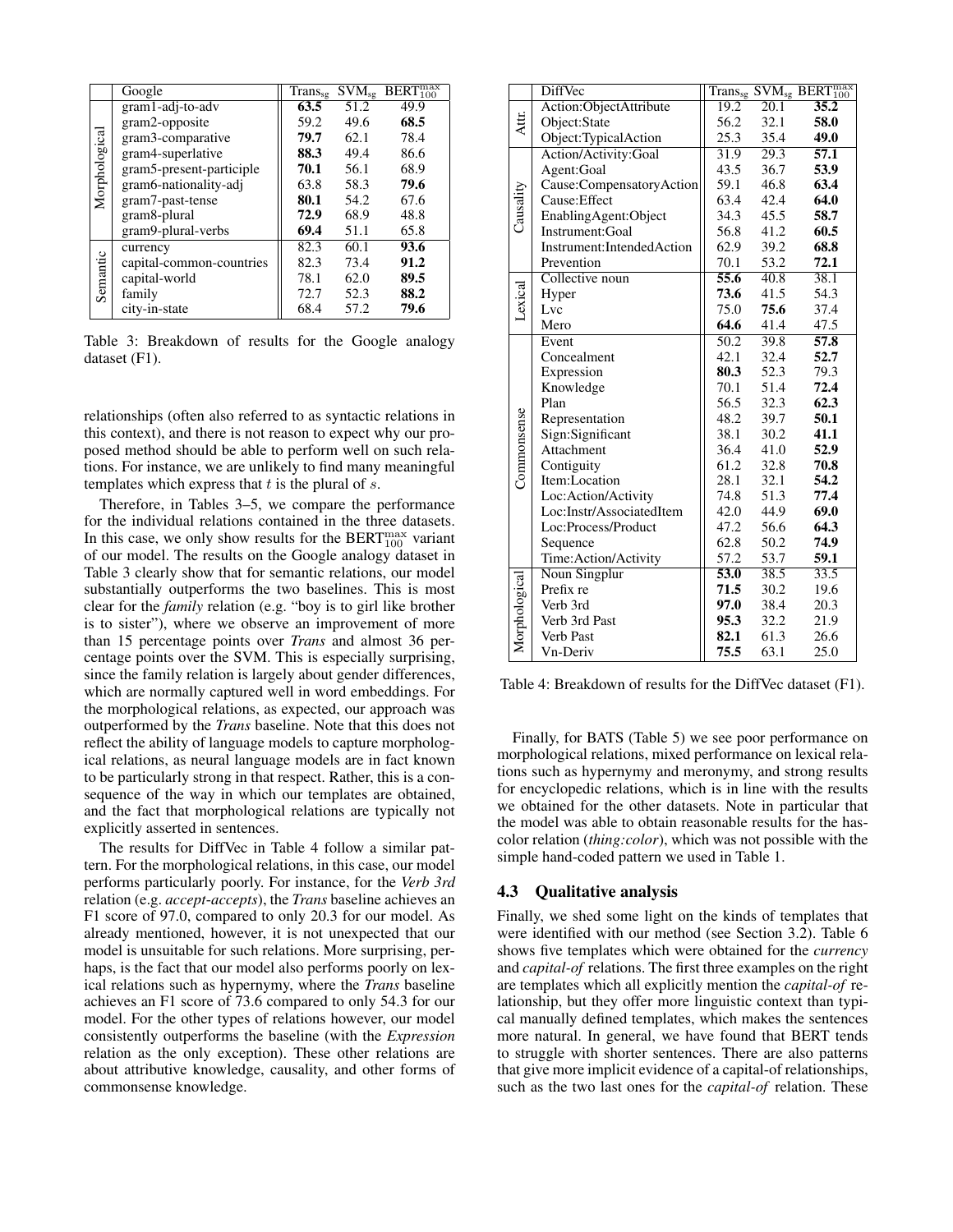|               | Google                   | $Trans_{sg}$ | $\overline{\mathrm{SVM}}_{\mathrm{sg}}$ | $BERT_{100}^{max}$ |
|---------------|--------------------------|--------------|-----------------------------------------|--------------------|
|               | gram1-adj-to-adv         | 63.5         | 51.2                                    | 49.9               |
|               | gram2-opposite           | 59.2         | 49.6                                    | 68.5               |
|               | gram3-comparative        | 79.7         | 62.1                                    | 78.4               |
|               | gram4-superlative        | 88.3         | 49.4                                    | 86.6               |
|               | gram5-present-participle | 70.1         | 56.1                                    | 68.9               |
| Morphological | gram6-nationality-adj    | 63.8         | 58.3                                    | 79.6               |
|               | gram7-past-tense         | 80.1         | 54.2                                    | 67.6               |
|               | gram8-plural             | 72.9         | 68.9                                    | 48.8               |
|               | gram9-plural-verbs       | 69.4         | 51.1                                    | 65.8               |
|               | currency                 | 82.3         | 60.1                                    | 93.6               |
| Semantic      | capital-common-countries | 82.3         | 73.4                                    | 91.2               |
|               | capital-world            | 78.1         | 62.0                                    | 89.5               |
|               | family                   | 72.7         | 52.3                                    | 88.2               |
|               | city-in-state            | 68.4         | 57.2                                    | 79.6               |

Table 3: Breakdown of results for the Google analogy dataset (F1).

relationships (often also referred to as syntactic relations in this context), and there is not reason to expect why our proposed method should be able to perform well on such relations. For instance, we are unlikely to find many meaningful templates which express that  $t$  is the plural of  $s$ .

Therefore, in Tables 3–5, we compare the performance for the individual relations contained in the three datasets. In this case, we only show results for the BERT $_{100}^{max}$  variant of our model. The results on the Google analogy dataset in Table 3 clearly show that for semantic relations, our model substantially outperforms the two baselines. This is most clear for the *family* relation (e.g. "boy is to girl like brother is to sister"), where we observe an improvement of more than 15 percentage points over *Trans* and almost 36 percentage points over the SVM. This is especially surprising, since the family relation is largely about gender differences, which are normally captured well in word embeddings. For the morphological relations, as expected, our approach was outperformed by the *Trans* baseline. Note that this does not reflect the ability of language models to capture morphological relations, as neural language models are in fact known to be particularly strong in that respect. Rather, this is a consequence of the way in which our templates are obtained, and the fact that morphological relations are typically not explicitly asserted in sentences.

The results for DiffVec in Table 4 follow a similar pattern. For the morphological relations, in this case, our model performs particularly poorly. For instance, for the *Verb 3rd* relation (e.g. *accept*-*accepts*), the *Trans* baseline achieves an F1 score of 97.0, compared to only 20.3 for our model. As already mentioned, however, it is not unexpected that our model is unsuitable for such relations. More surprising, perhaps, is the fact that our model also performs poorly on lexical relations such as hypernymy, where the *Trans* baseline achieves an F1 score of 73.6 compared to only 54.3 for our model. For the other types of relations however, our model consistently outperforms the baseline (with the *Expression* relation as the only exception). These other relations are about attributive knowledge, causality, and other forms of commonsense knowledge.

|              | DiffVec                   |                   |                   | Transsg SVMsg BERT <sup>max</sup> |
|--------------|---------------------------|-------------------|-------------------|-----------------------------------|
|              | Action:ObjectAttribute    | 19.2              | $\overline{20.1}$ | 35.2                              |
| Attr.        | Object:State              | 56.2              | 32.1              | 58.0                              |
|              | Object:TypicalAction      | 25.3              | 35.4              | 49.0                              |
|              | Action/Activity:Goal      | 31.9              | 29.3              | 57.1                              |
|              | Agent:Goal                | 43.5              | 36.7              | 53.9                              |
|              | Cause:CompensatoryAction  | 59.1              | 46.8              | 63.4                              |
| Causality    | Cause: Effect             | 63.4              | 42.4              | 64.0                              |
|              | EnablingAgent:Object      | 34.3              | 45.5              | 58.7                              |
|              | Instrument: Goal          | 56.8              | 41.2              | 60.5                              |
|              | Instrument:IntendedAction | 62.9              | 39.2              | 68.8                              |
|              | Prevention                | 70.1              | 53.2              | 72.1                              |
|              | Collective noun           | $\overline{55.6}$ | 40.8              | 38.1                              |
|              | Hyper                     | 73.6              | 41.5              | 54.3                              |
| _exical      | Lvc                       | 75.0              | 75.6              | 37.4                              |
|              | Mero                      | 64.6              | 41.4              | 47.5                              |
|              | Event                     | 50.2              | 39.8              | 57.8                              |
|              | Concealment               | 42.1              | 32.4              | 52.7                              |
|              | Expression                | 80.3              | 52.3              | 79.3                              |
|              | Knowledge                 | 70.1              | 51.4              | 72.4                              |
| Commonsense  | Plan                      | 56.5              | 32.3              | 62.3                              |
|              | Representation            | 48.2              | 39.7              | 50.1                              |
|              | Sign:Significant          | 38.1              | 30.2              | 41.1                              |
|              | Attachment                | 36.4              | 41.0              | 52.9                              |
|              | Contiguity                | 61.2              | 32.8              | 70.8                              |
|              | Item:Location             | 28.1              | 32.1              | 54.2                              |
|              | Loc:Action/Activity       | 74.8              | 51.3              | 77.4                              |
|              | Loc:Instr/AssociatedItem  | 42.0              | 44.9              | 69.0                              |
|              | Loc:Process/Product       | 47.2              | 56.6              | 64.3                              |
|              | Sequence                  | 62.8              | 50.2              | 74.9                              |
|              | Time:Action/Activity      | 57.2              | 53.7              | 59.1                              |
| Morphologica | Noun Singplur             | 53.0              | 38.5              | 33.5                              |
|              | Prefix re                 | 71.5              | 30.2              | 19.6                              |
|              | Verb 3rd                  | 97.0              | 38.4              | 20.3                              |
|              | Verb 3rd Past             | 95.3              | 32.2              | 21.9                              |
|              | Verb Past                 | 82.1              | 61.3              | 26.6                              |
|              | Vn-Deriv                  | 75.5              | 63.1              | 25.0                              |

Table 4: Breakdown of results for the DiffVec dataset (F1).

Finally, for BATS (Table 5) we see poor performance on morphological relations, mixed performance on lexical relations such as hypernymy and meronymy, and strong results for encyclopedic relations, which is in line with the results we obtained for the other datasets. Note in particular that the model was able to obtain reasonable results for the hascolor relation (*thing:color*), which was not possible with the simple hand-coded pattern we used in Table 1.

#### 4.3 Qualitative analysis

Finally, we shed some light on the kinds of templates that were identified with our method (see Section 3.2). Table 6 shows five templates which were obtained for the *currency* and *capital-of* relations. The first three examples on the right are templates which all explicitly mention the *capital-of* relationship, but they offer more linguistic context than typical manually defined templates, which makes the sentences more natural. In general, we have found that BERT tends to struggle with shorter sentences. There are also patterns that give more implicit evidence of a capital-of relationships, such as the two last ones for the *capital-of* relation. These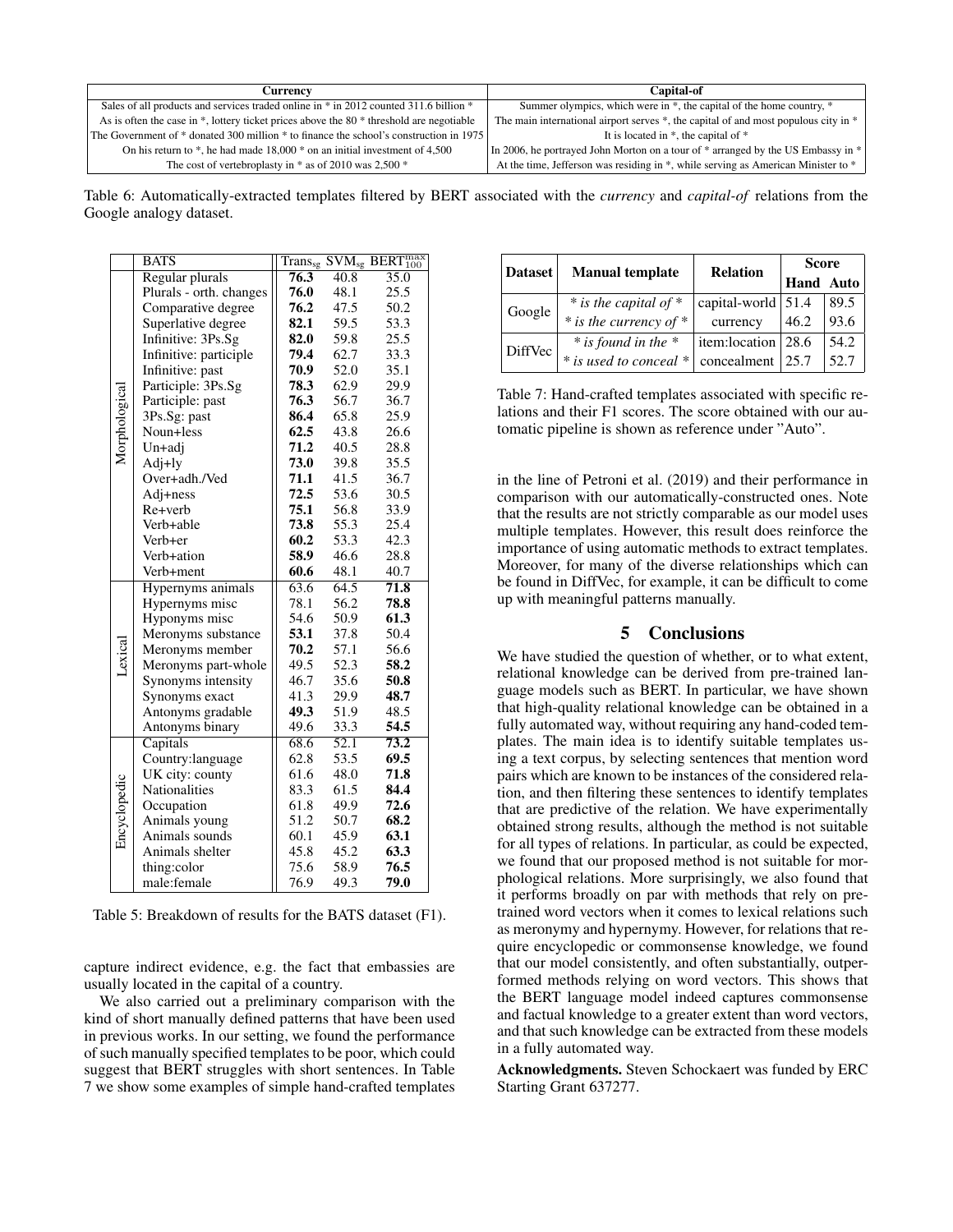| Currencv                                                                                 | <b>Capital-of</b>                                                                   |
|------------------------------------------------------------------------------------------|-------------------------------------------------------------------------------------|
| Sales of all products and services traded online in * in 2012 counted 311.6 billion *    | Summer olympics, which were in *, the capital of the home country, *                |
| As is often the case in *, lottery ticket prices above the 80 * threshold are negotiable | The main international airport serves *, the capital of and most populous city in * |
| The Government of * donated 300 million * to finance the school's construction in 1975   | It is located in $*$ , the capital of $*$                                           |
| On his return to $*$ , he had made 18,000 $*$ on an initial investment of 4,500          | In 2006, he portrayed John Morton on a tour of * arranged by the US Embassy in *    |
| The cost of vertebroplasty in $*$ as of 2010 was 2,500 $*$                               | At the time, Jefferson was residing in *, while serving as American Minister to *   |

Table 6: Automatically-extracted templates filtered by BERT associated with the *currency* and *capital-of* relations from the Google analogy dataset.

|               | <b>BATS</b>             |      |                   | $\overline{\mathrm{Trans}_{\mathrm{sg}}}$ $\overline{\mathrm{SVM}_{\mathrm{sg}}}$ $\overline{\mathrm{BERT}_{100}^{\mathrm{max}}}$ |
|---------------|-------------------------|------|-------------------|-----------------------------------------------------------------------------------------------------------------------------------|
|               | Regular plurals         | 76.3 | $\overline{40.8}$ | 35.0                                                                                                                              |
|               | Plurals - orth. changes | 76.0 | 48.1              | 25.5                                                                                                                              |
|               | Comparative degree      | 76.2 | 47.5              | 50.2                                                                                                                              |
|               | Superlative degree      | 82.1 | 59.5              | 53.3                                                                                                                              |
|               | Infinitive: 3Ps.Sg      | 82.0 | 59.8              | 25.5                                                                                                                              |
|               | Infinitive: participle  | 79.4 | 62.7              | 33.3                                                                                                                              |
|               | Infinitive: past        | 70.9 | 52.0              | 35.1                                                                                                                              |
|               | Participle: 3Ps.Sg      | 78.3 | 62.9              | 29.9                                                                                                                              |
|               | Participle: past        | 76.3 | 56.7              | 36.7                                                                                                                              |
|               | 3Ps.Sg: past            | 86.4 | 65.8              | 25.9                                                                                                                              |
| Morphological | Noun+less               | 62.5 | 43.8              | 26.6                                                                                                                              |
|               | Un+adj                  | 71.2 | 40.5              | 28.8                                                                                                                              |
|               | Adj+ly                  | 73.0 | 39.8              | 35.5                                                                                                                              |
|               | Over+adh./Ved           | 71.1 | 41.5              | 36.7                                                                                                                              |
|               | Adj+ness                | 72.5 | 53.6              | 30.5                                                                                                                              |
|               | Re+verb                 | 75.1 | 56.8              | 33.9                                                                                                                              |
|               | Verb+able               | 73.8 | 55.3              | 25.4                                                                                                                              |
|               | Verb+er                 | 60.2 | 53.3              | 42.3                                                                                                                              |
|               | Verb+ation              | 58.9 | 46.6              | 28.8                                                                                                                              |
|               | Verb+ment               | 60.6 | 48.1              | 40.7                                                                                                                              |
|               | Hypernyms animals       | 63.6 | 64.5              | 71.8                                                                                                                              |
|               | Hypernyms misc          | 78.1 | 56.2              | 78.8                                                                                                                              |
|               | Hyponyms misc           | 54.6 | 50.9              | 61.3                                                                                                                              |
|               | Meronyms substance      | 53.1 | 37.8              | 50.4                                                                                                                              |
|               | Meronyms member         | 70.2 | 57.1              | 56.6                                                                                                                              |
| Lexica        | Meronyms part-whole     | 49.5 | 52.3              | 58.2                                                                                                                              |
|               | Synonyms intensity      | 46.7 | 35.6              | 50.8                                                                                                                              |
|               | Synonyms exact          | 41.3 | 29.9              | 48.7                                                                                                                              |
|               | Antonyms gradable       | 49.3 | 51.9              | 48.5                                                                                                                              |
|               | Antonyms binary         | 49.6 | 33.3              | 54.5                                                                                                                              |
|               | Capitals                | 68.6 | $\overline{52.1}$ | 73.2                                                                                                                              |
| Encyclopedic  | Country:language        | 62.8 | 53.5              | 69.5                                                                                                                              |
|               | UK city: county         | 61.6 | 48.0              | 71.8                                                                                                                              |
|               | <b>Nationalities</b>    | 83.3 | 61.5              | 84.4                                                                                                                              |
|               | Occupation              | 61.8 | 49.9              | 72.6                                                                                                                              |
|               | Animals young           | 51.2 | 50.7              | 68.2                                                                                                                              |
|               | Animals sounds          | 60.1 | 45.9              | 63.1                                                                                                                              |
|               | Animals shelter         | 45.8 | 45.2              | 63.3                                                                                                                              |
|               | thing:color             | 75.6 | 58.9              | 76.5                                                                                                                              |
|               | male:female             | 76.9 | 49.3              | 79.0                                                                                                                              |

Table 5: Breakdown of results for the BATS dataset (F1).

capture indirect evidence, e.g. the fact that embassies are usually located in the capital of a country.

We also carried out a preliminary comparison with the kind of short manually defined patterns that have been used in previous works. In our setting, we found the performance of such manually specified templates to be poor, which could suggest that BERT struggles with short sentences. In Table 7 we show some examples of simple hand-crafted templates

| <b>Dataset</b> | <b>Manual template</b>     | <b>Relation</b>            | <b>Score</b>     |      |
|----------------|----------------------------|----------------------------|------------------|------|
|                |                            |                            | <b>Hand Auto</b> |      |
| Google         | $*$ is the capital of $*$  | capital-world $\vert$ 51.4 |                  | 89.5 |
|                | $*$ is the currency of $*$ | currency                   | 46.2             | 93.6 |
| DiffVec        | $*$ is found in the $*$    | item:location   28.6       |                  | 54.2 |
|                | * is used to conceal *     | concealment                | 125.7            | 52.7 |

Table 7: Hand-crafted templates associated with specific relations and their F1 scores. The score obtained with our automatic pipeline is shown as reference under "Auto".

in the line of Petroni et al. (2019) and their performance in comparison with our automatically-constructed ones. Note that the results are not strictly comparable as our model uses multiple templates. However, this result does reinforce the importance of using automatic methods to extract templates. Moreover, for many of the diverse relationships which can be found in DiffVec, for example, it can be difficult to come up with meaningful patterns manually.

## 5 Conclusions

We have studied the question of whether, or to what extent, relational knowledge can be derived from pre-trained language models such as BERT. In particular, we have shown that high-quality relational knowledge can be obtained in a fully automated way, without requiring any hand-coded templates. The main idea is to identify suitable templates using a text corpus, by selecting sentences that mention word pairs which are known to be instances of the considered relation, and then filtering these sentences to identify templates that are predictive of the relation. We have experimentally obtained strong results, although the method is not suitable for all types of relations. In particular, as could be expected, we found that our proposed method is not suitable for morphological relations. More surprisingly, we also found that it performs broadly on par with methods that rely on pretrained word vectors when it comes to lexical relations such as meronymy and hypernymy. However, for relations that require encyclopedic or commonsense knowledge, we found that our model consistently, and often substantially, outperformed methods relying on word vectors. This shows that the BERT language model indeed captures commonsense and factual knowledge to a greater extent than word vectors, and that such knowledge can be extracted from these models in a fully automated way.

Acknowledgments. Steven Schockaert was funded by ERC Starting Grant 637277.